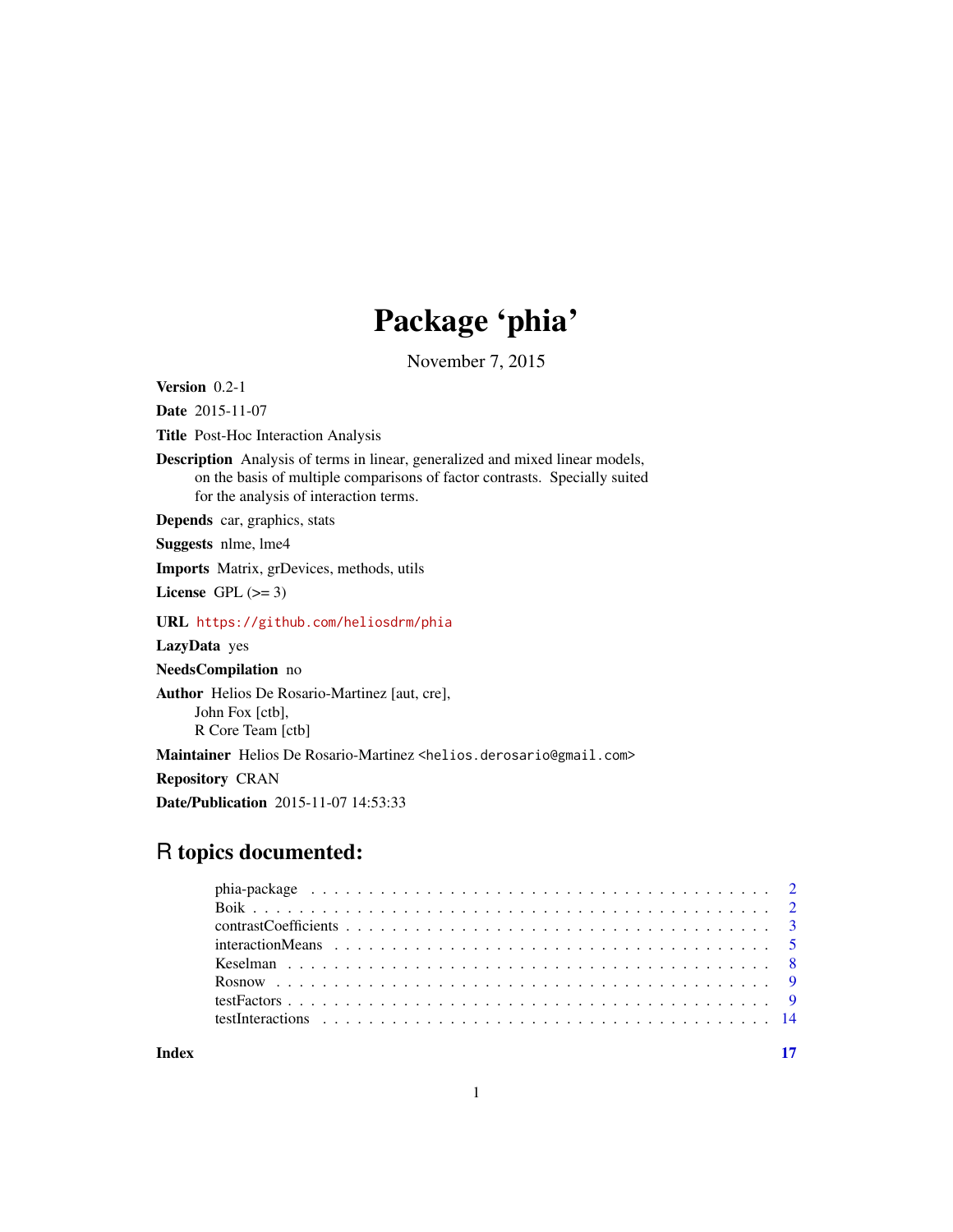# Package 'phia'

November 7, 2015

<span id="page-0-0"></span>Version 0.2-1

Date 2015-11-07

Title Post-Hoc Interaction Analysis

Description Analysis of terms in linear, generalized and mixed linear models, on the basis of multiple comparisons of factor contrasts. Specially suited for the analysis of interaction terms.

Depends car, graphics, stats

Suggests nlme, lme4

Imports Matrix, grDevices, methods, utils

License GPL  $(>= 3)$ 

URL <https://github.com/heliosdrm/phia>

LazyData yes

NeedsCompilation no

Author Helios De Rosario-Martinez [aut, cre],

John Fox [ctb], R Core Team [ctb]

Maintainer Helios De Rosario-Martinez <helios.derosario@gmail.com>

Repository CRAN

Date/Publication 2015-11-07 14:53:33

# R topics documented:

**Index** [17](#page-16-0)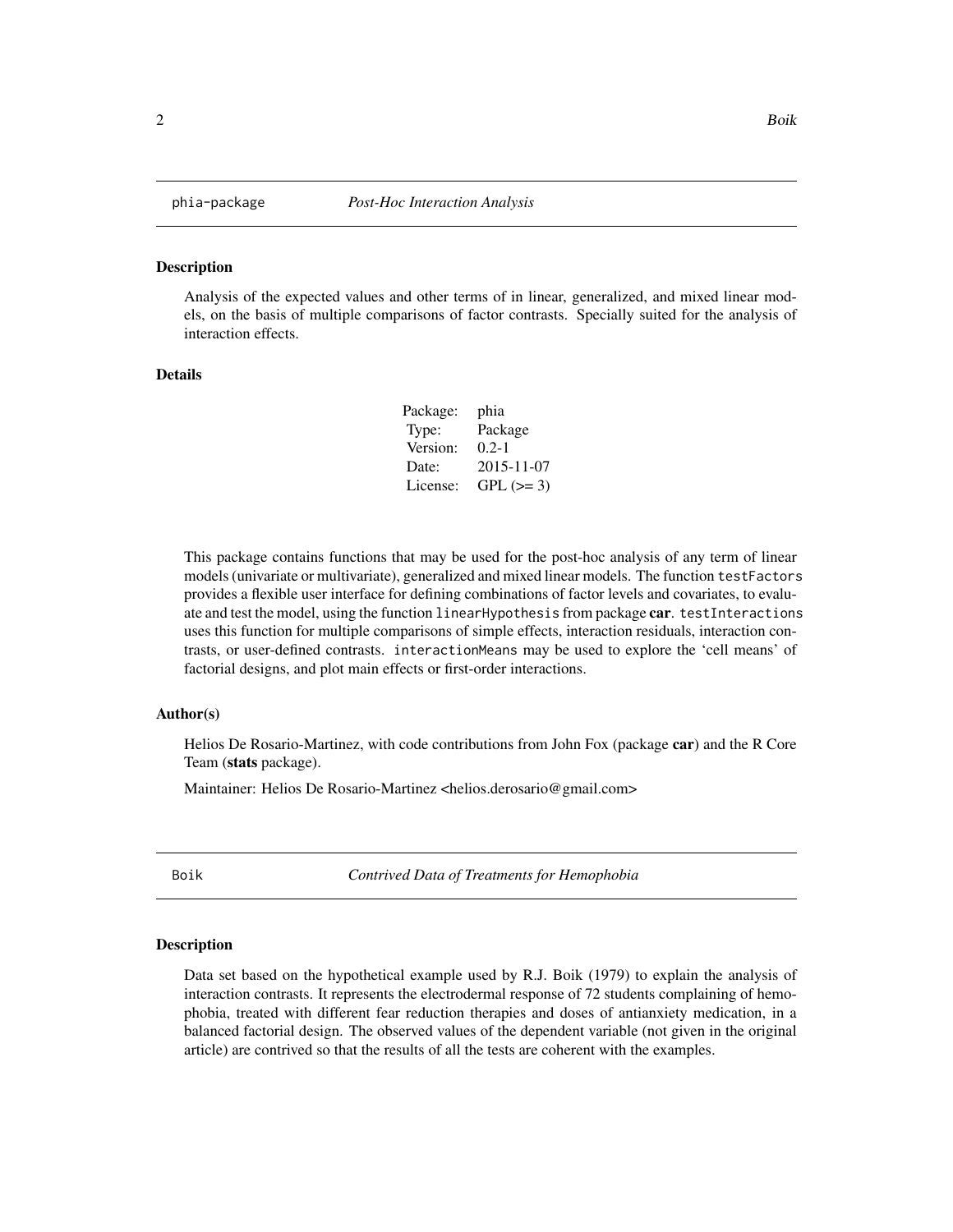<span id="page-1-0"></span>

#### Description

Analysis of the expected values and other terms of in linear, generalized, and mixed linear models, on the basis of multiple comparisons of factor contrasts. Specially suited for the analysis of interaction effects.

#### Details

| Package: | phia       |
|----------|------------|
| Type:    | Package    |
| Version: | $0.2 - 1$  |
| Date:    | 2015-11-07 |
| License: | $GPL (=3)$ |

This package contains functions that may be used for the post-hoc analysis of any term of linear models (univariate or multivariate), generalized and mixed linear models. The function testFactors provides a flexible user interface for defining combinations of factor levels and covariates, to evaluate and test the model, using the function linearHypothesis from package car. testInteractions uses this function for multiple comparisons of simple effects, interaction residuals, interaction contrasts, or user-defined contrasts. interactionMeans may be used to explore the 'cell means' of factorial designs, and plot main effects or first-order interactions.

#### Author(s)

Helios De Rosario-Martinez, with code contributions from John Fox (package car) and the R Core Team (stats package).

Maintainer: Helios De Rosario-Martinez <helios.derosario@gmail.com>

Boik *Contrived Data of Treatments for Hemophobia*

#### **Description**

Data set based on the hypothetical example used by R.J. Boik (1979) to explain the analysis of interaction contrasts. It represents the electrodermal response of 72 students complaining of hemophobia, treated with different fear reduction therapies and doses of antianxiety medication, in a balanced factorial design. The observed values of the dependent variable (not given in the original article) are contrived so that the results of all the tests are coherent with the examples.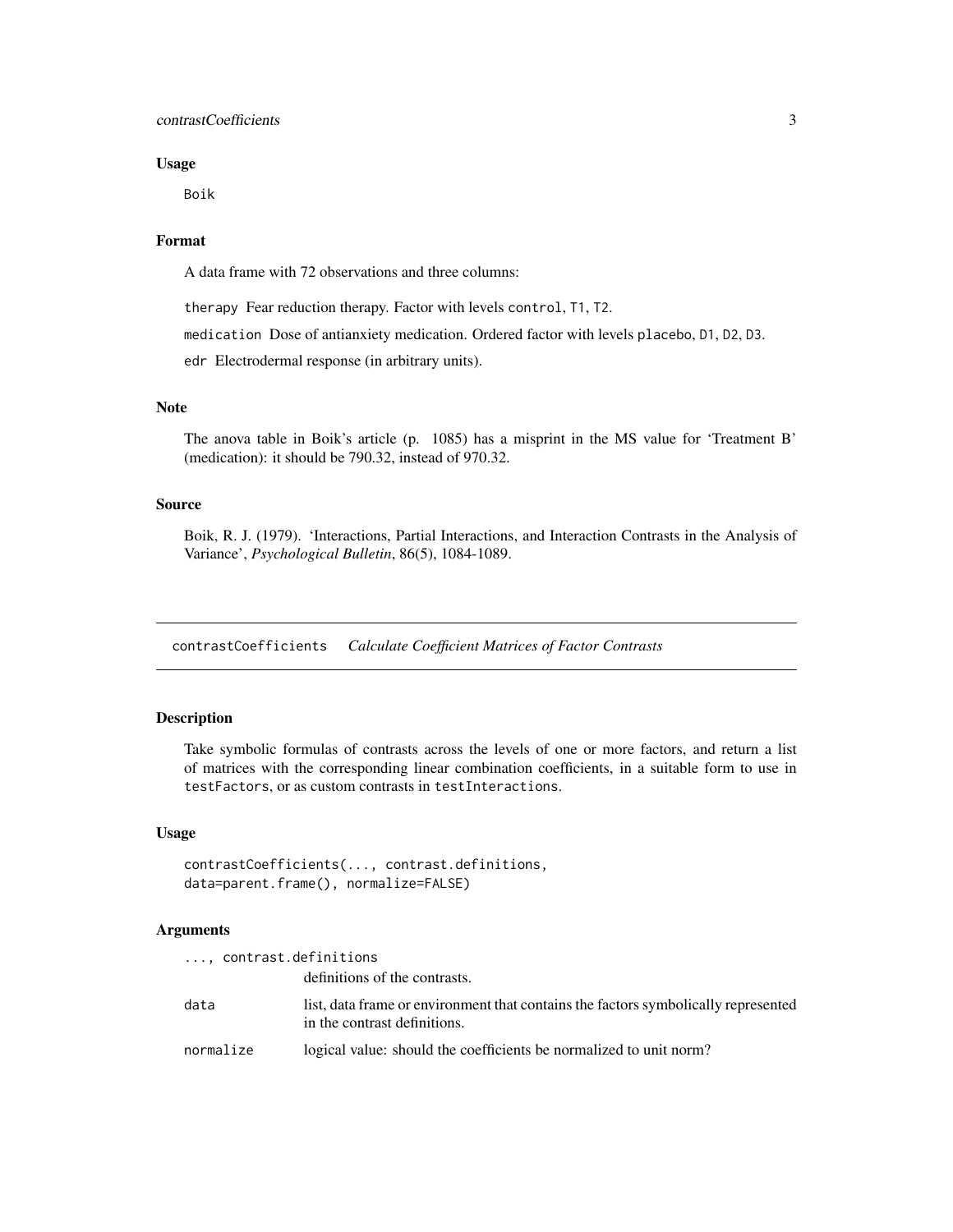# <span id="page-2-0"></span>contrastCoefficients 3

#### Usage

Boik

# Format

A data frame with 72 observations and three columns:

therapy Fear reduction therapy. Factor with levels control, T1, T2.

medication Dose of antianxiety medication. Ordered factor with levels placebo, D1, D2, D3.

edr Electrodermal response (in arbitrary units).

# Note

The anova table in Boik's article (p. 1085) has a misprint in the MS value for 'Treatment B' (medication): it should be 790.32, instead of 970.32.

#### Source

Boik, R. J. (1979). 'Interactions, Partial Interactions, and Interaction Contrasts in the Analysis of Variance', *Psychological Bulletin*, 86(5), 1084-1089.

<span id="page-2-1"></span>contrastCoefficients *Calculate Coefficient Matrices of Factor Contrasts*

# **Description**

Take symbolic formulas of contrasts across the levels of one or more factors, and return a list of matrices with the corresponding linear combination coefficients, in a suitable form to use in testFactors, or as custom contrasts in testInteractions.

#### Usage

```
contrastCoefficients(..., contrast.definitions,
data=parent.frame(), normalize=FALSE)
```
#### **Arguments**

|           | , contrast.definitions                                                                                             |
|-----------|--------------------------------------------------------------------------------------------------------------------|
|           | definitions of the contrasts.                                                                                      |
| data      | list, data frame or environment that contains the factors symbolically represented<br>in the contrast definitions. |
| normalize | logical value: should the coefficients be normalized to unit norm?                                                 |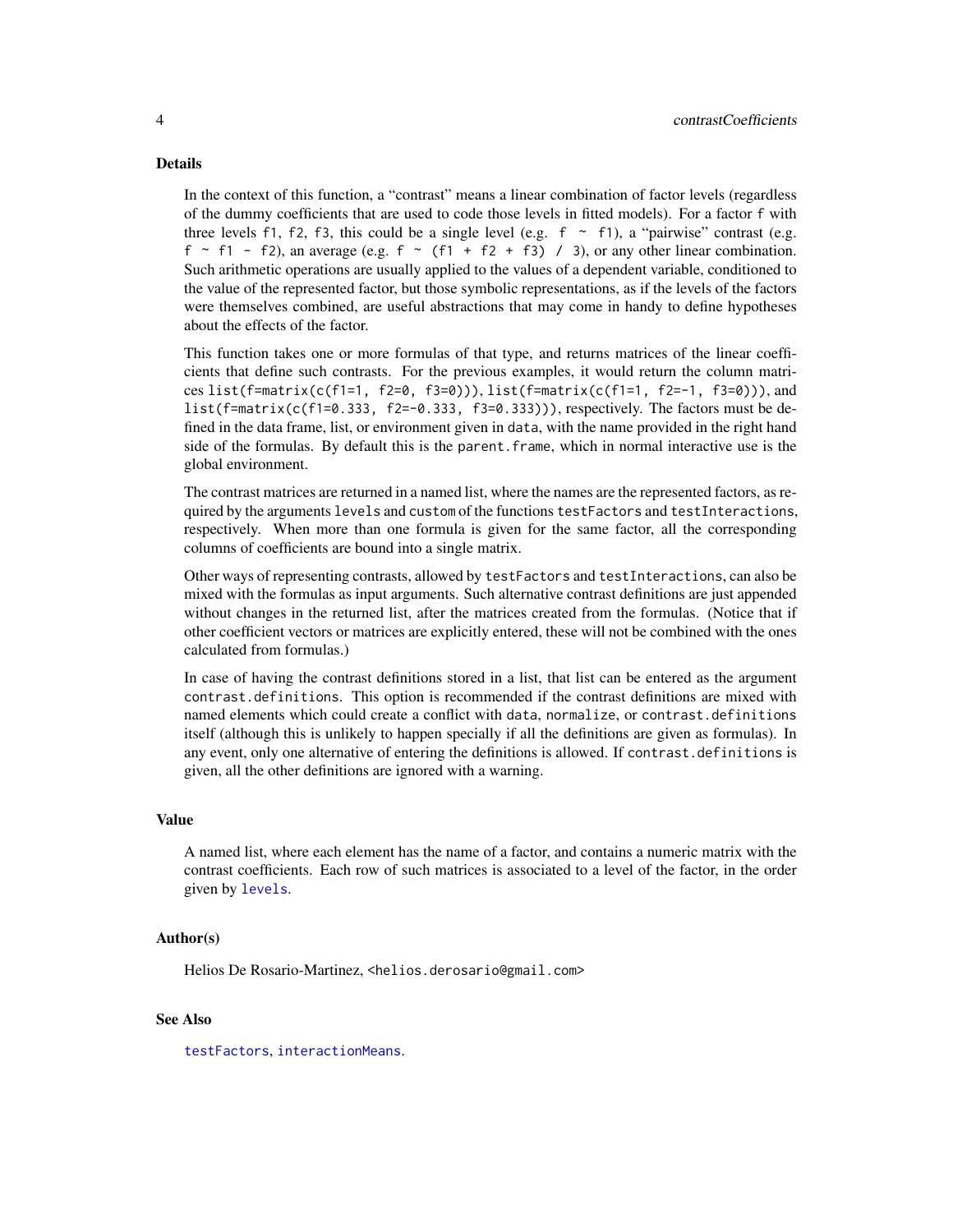#### <span id="page-3-0"></span>Details

In the context of this function, a "contrast" means a linear combination of factor levels (regardless of the dummy coefficients that are used to code those levels in fitted models). For a factor f with three levels f1, f2, f3, this could be a single level (e.g.  $f \sim f/2$ ), a "pairwise" contrast (e.g.  $f \sim f1 - f2$ ), an average (e.g.  $f \sim (f1 + f2 + f3) / 3$ ), or any other linear combination. Such arithmetic operations are usually applied to the values of a dependent variable, conditioned to the value of the represented factor, but those symbolic representations, as if the levels of the factors were themselves combined, are useful abstractions that may come in handy to define hypotheses about the effects of the factor.

This function takes one or more formulas of that type, and returns matrices of the linear coefficients that define such contrasts. For the previous examples, it would return the column matrices list(f=matrix(c(f1=1, f2=0, f3=0))), list(f=matrix(c(f1=1, f2=-1, f3=0))), and list(f=matrix(c(f1=0.333, f2=-0.333, f3=0.333))), respectively. The factors must be defined in the data frame, list, or environment given in data, with the name provided in the right hand side of the formulas. By default this is the parent.frame, which in normal interactive use is the global environment.

The contrast matrices are returned in a named list, where the names are the represented factors, as required by the arguments levels and custom of the functions testFactors and testInteractions, respectively. When more than one formula is given for the same factor, all the corresponding columns of coefficients are bound into a single matrix.

Other ways of representing contrasts, allowed by testFactors and testInteractions, can also be mixed with the formulas as input arguments. Such alternative contrast definitions are just appended without changes in the returned list, after the matrices created from the formulas. (Notice that if other coefficient vectors or matrices are explicitly entered, these will not be combined with the ones calculated from formulas.)

In case of having the contrast definitions stored in a list, that list can be entered as the argument contrast.definitions. This option is recommended if the contrast definitions are mixed with named elements which could create a conflict with data, normalize, or contrast.definitions itself (although this is unlikely to happen specially if all the definitions are given as formulas). In any event, only one alternative of entering the definitions is allowed. If contrast.definitions is given, all the other definitions are ignored with a warning.

#### Value

A named list, where each element has the name of a factor, and contains a numeric matrix with the contrast coefficients. Each row of such matrices is associated to a level of the factor, in the order given by [levels](#page-0-0).

#### Author(s)

Helios De Rosario-Martinez, <helios.derosario@gmail.com>

# See Also

[testFactors](#page-8-1), [interactionMeans](#page-4-1).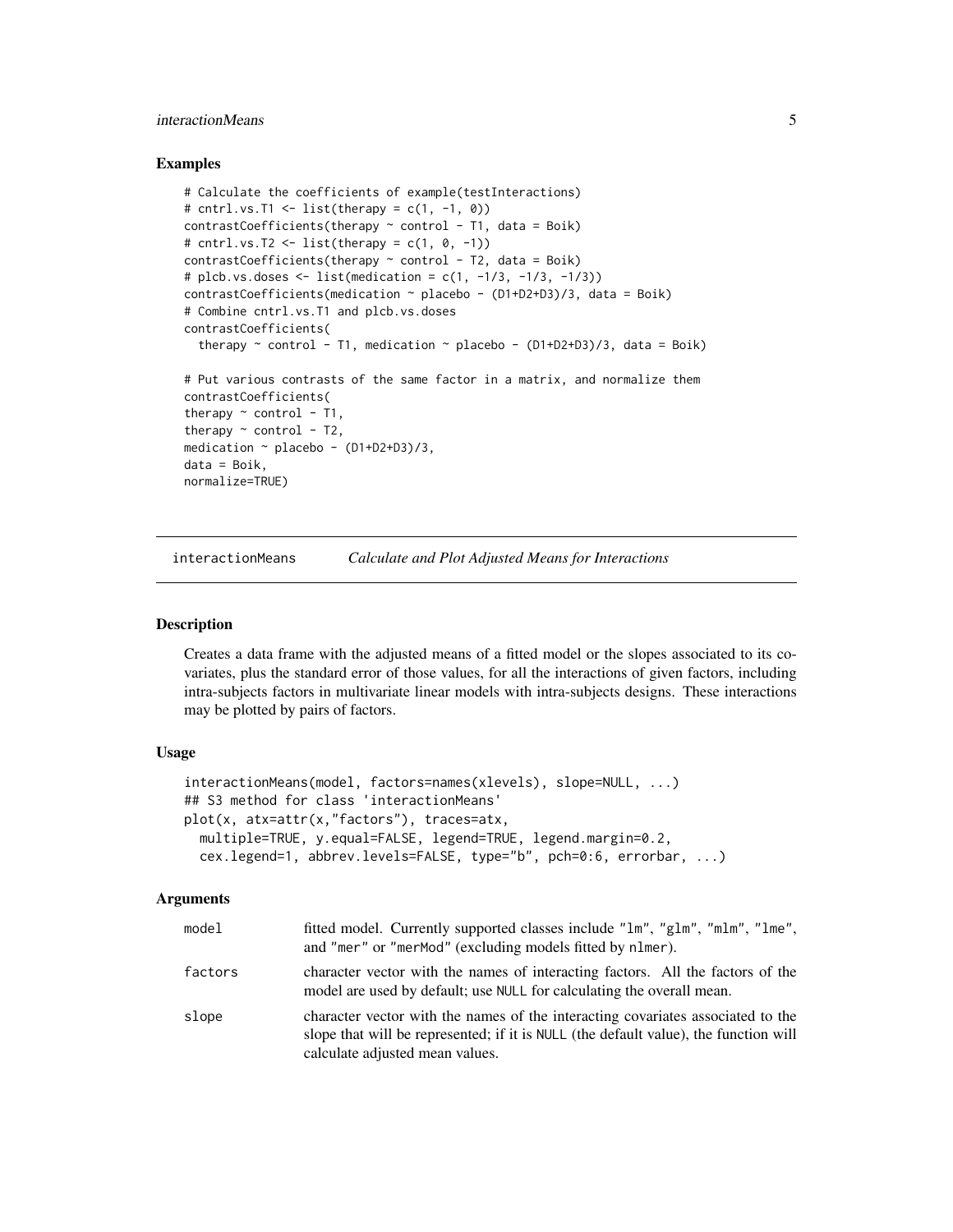# <span id="page-4-0"></span>interactionMeans 5

#### Examples

```
# Calculate the coefficients of example(testInteractions)
# cntrl.vs.T1 <- list(therapy = c(1, -1, 0))
contrastCoefficients(therapy \sim control - T1, data = Boik)
# cntrl.vs.T2 <- list(therapy = c(1, 0, -1))
contrastCoefficients(therapy ~ control - T2, data = Boik)# plcb.vs.doses <- list(medication = c(1, -1/3, -1/3, -1/3))
contrastCoefficients(medication \sim placebo - (D1+D2+D3)/3, data = Boik)
# Combine cntrl.vs.T1 and plcb.vs.doses
contrastCoefficients(
  therapy \sim control - T1, medication \sim placebo - (D1+D2+D3)/3, data = Boik)
# Put various contrasts of the same factor in a matrix, and normalize them
contrastCoefficients(
therapy \sim control - T1,
therapy \sim control - T2,
medication \sim placebo - (D1+D2+D3)/3,
data = Boik,
normalize=TRUE)
```
<span id="page-4-1"></span>interactionMeans *Calculate and Plot Adjusted Means for Interactions*

# **Description**

Creates a data frame with the adjusted means of a fitted model or the slopes associated to its covariates, plus the standard error of those values, for all the interactions of given factors, including intra-subjects factors in multivariate linear models with intra-subjects designs. These interactions may be plotted by pairs of factors.

# Usage

```
interactionMeans(model, factors=names(xlevels), slope=NULL, ...)
## S3 method for class 'interactionMeans'
plot(x, atx=attr(x,"factors"), traces=atx,
 multiple=TRUE, y.equal=FALSE, legend=TRUE, legend.margin=0.2,
  cex.legend=1, abbrev.levels=FALSE, type="b", pch=0:6, errorbar, ...)
```
# Arguments

| model   | fitted model. Currently supported classes include "1m", "g1m", "m1m", "1me",<br>and "mer" or "merMod" (excluding models fitted by nlmer).                                                                  |
|---------|------------------------------------------------------------------------------------------------------------------------------------------------------------------------------------------------------------|
| factors | character vector with the names of interacting factors. All the factors of the<br>model are used by default; use NULL for calculating the overall mean.                                                    |
| slope   | character vector with the names of the interacting covariates associated to the<br>slope that will be represented; if it is NULL (the default value), the function will<br>calculate adjusted mean values. |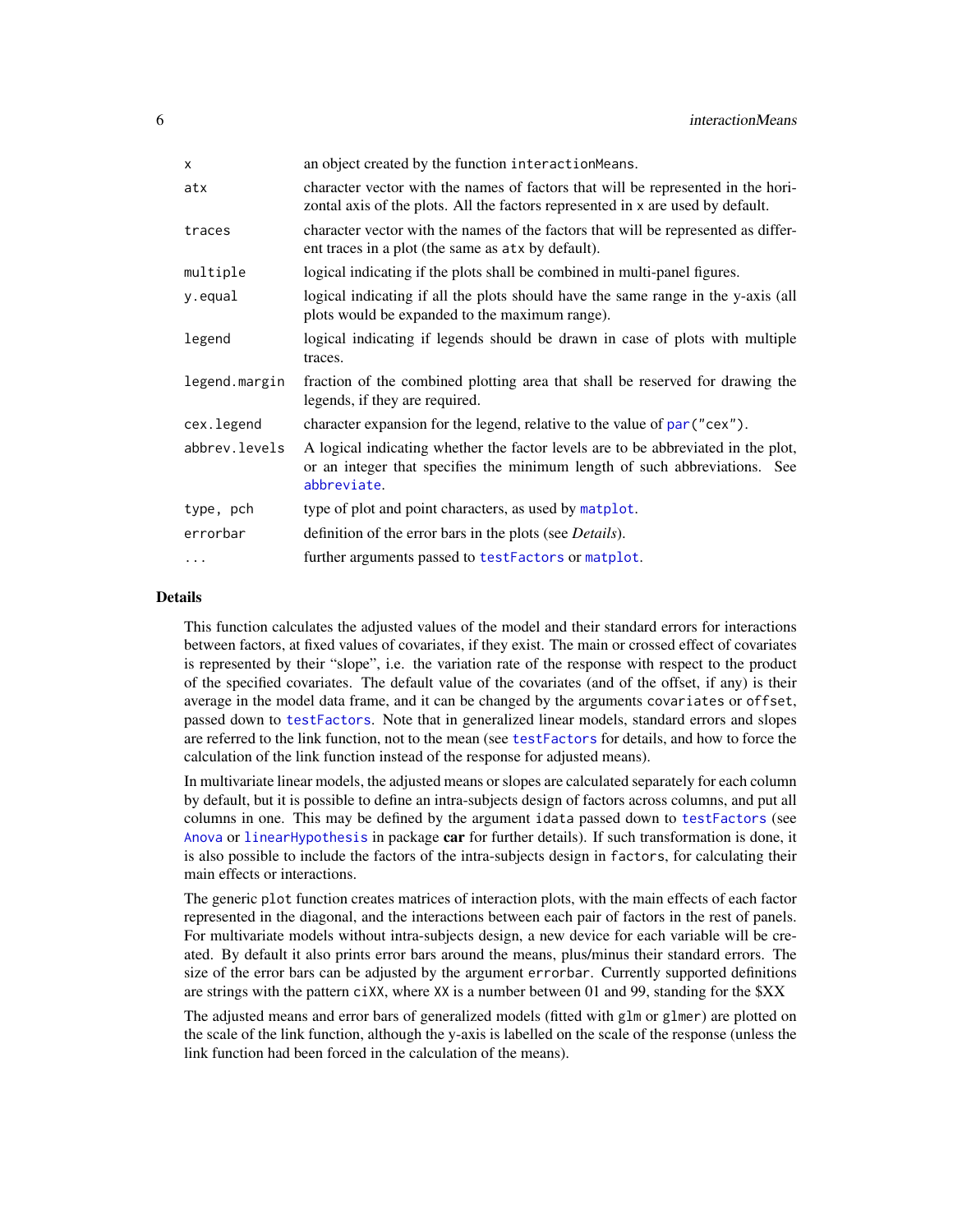<span id="page-5-0"></span>

| X             | an object created by the function interactionMeans.                                                                                                                            |
|---------------|--------------------------------------------------------------------------------------------------------------------------------------------------------------------------------|
| atx           | character vector with the names of factors that will be represented in the hori-<br>zontal axis of the plots. All the factors represented in x are used by default.            |
| traces        | character vector with the names of the factors that will be represented as differ-<br>ent traces in a plot (the same as atx by default).                                       |
| multiple      | logical indicating if the plots shall be combined in multi-panel figures.                                                                                                      |
| y.equal       | logical indicating if all the plots should have the same range in the y-axis (all<br>plots would be expanded to the maximum range).                                            |
| legend        | logical indicating if legends should be drawn in case of plots with multiple<br>traces.                                                                                        |
| legend.margin | fraction of the combined plotting area that shall be reserved for drawing the<br>legends, if they are required.                                                                |
| cex.legend    | character expansion for the legend, relative to the value of par ("cex").                                                                                                      |
| abbrev.levels | A logical indicating whether the factor levels are to be abbreviated in the plot,<br>or an integer that specifies the minimum length of such abbreviations. See<br>abbreviate. |
| type, pch     | type of plot and point characters, as used by matplot.                                                                                                                         |
| errorbar      | definition of the error bars in the plots (see <i>Details</i> ).                                                                                                               |
| $\cdots$      | further arguments passed to testFactors or matplot.                                                                                                                            |

#### Details

This function calculates the adjusted values of the model and their standard errors for interactions between factors, at fixed values of covariates, if they exist. The main or crossed effect of covariates is represented by their "slope", i.e. the variation rate of the response with respect to the product of the specified covariates. The default value of the covariates (and of the offset, if any) is their average in the model data frame, and it can be changed by the arguments covariates or offset, passed down to [testFactors](#page-8-1). Note that in generalized linear models, standard errors and slopes are referred to the link function, not to the mean (see [testFactors](#page-8-1) for details, and how to force the calculation of the link function instead of the response for adjusted means).

In multivariate linear models, the adjusted means or slopes are calculated separately for each column by default, but it is possible to define an intra-subjects design of factors across columns, and put all columns in one. This may be defined by the argument idata passed down to [testFactors](#page-8-1) (see [Anova](#page-0-0) or [linearHypothesis](#page-0-0) in package car for further details). If such transformation is done, it is also possible to include the factors of the intra-subjects design in factors, for calculating their main effects or interactions.

The generic plot function creates matrices of interaction plots, with the main effects of each factor represented in the diagonal, and the interactions between each pair of factors in the rest of panels. For multivariate models without intra-subjects design, a new device for each variable will be created. By default it also prints error bars around the means, plus/minus their standard errors. The size of the error bars can be adjusted by the argument errorbar. Currently supported definitions are strings with the pattern  $c\,i\,\times\,X$ , where  $XX$  is a number between 01 and 99, standing for the  $XX$ 

The adjusted means and error bars of generalized models (fitted with glm or glmer) are plotted on the scale of the link function, although the y-axis is labelled on the scale of the response (unless the link function had been forced in the calculation of the means).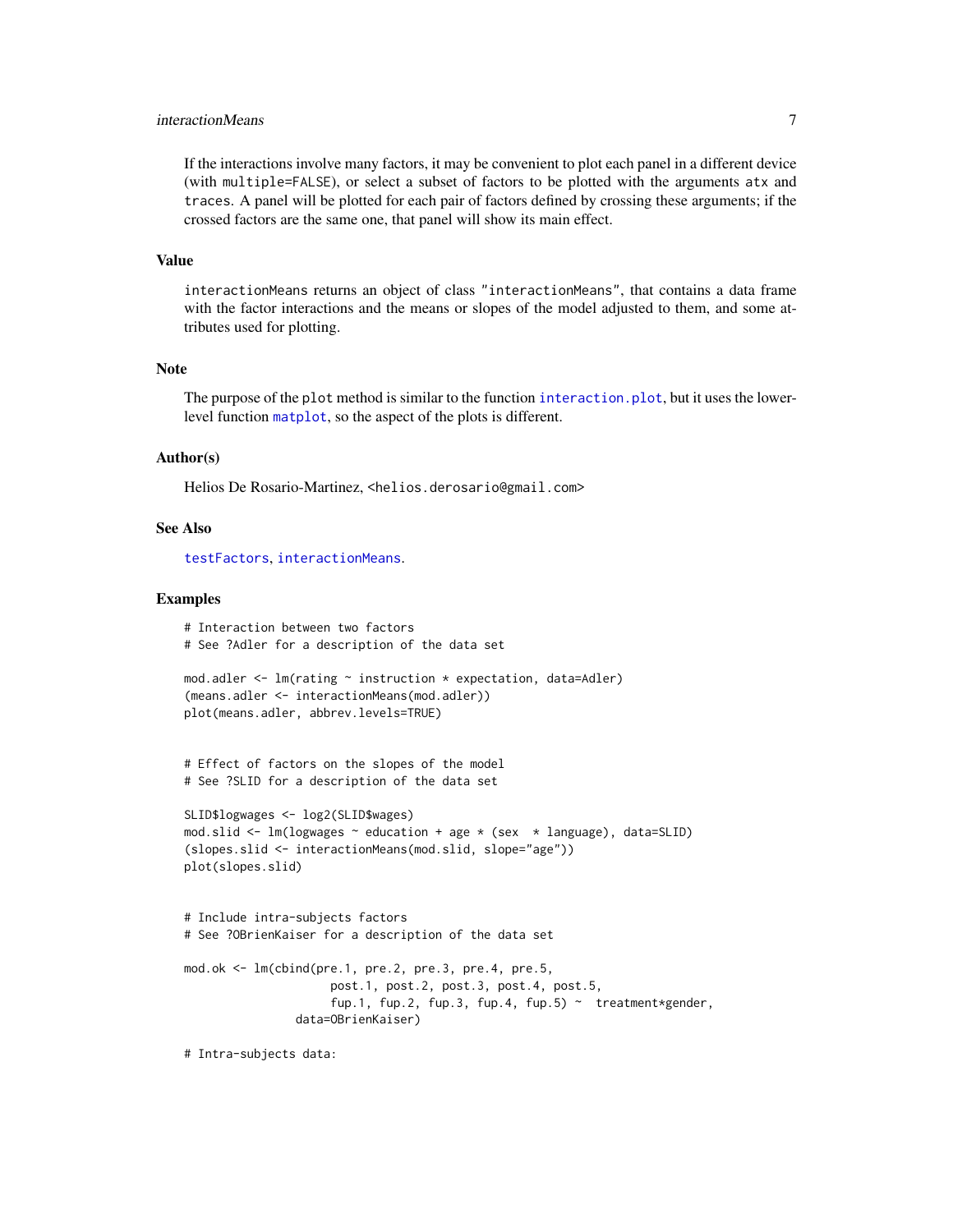# <span id="page-6-0"></span>interactionMeans 7

If the interactions involve many factors, it may be convenient to plot each panel in a different device (with multiple=FALSE), or select a subset of factors to be plotted with the arguments atx and traces. A panel will be plotted for each pair of factors defined by crossing these arguments; if the crossed factors are the same one, that panel will show its main effect.

#### Value

interactionMeans returns an object of class "interactionMeans", that contains a data frame with the factor interactions and the means or slopes of the model adjusted to them, and some attributes used for plotting.

#### Note

The purpose of the plot method is similar to the function interaction, plot, but it uses the lowerlevel function [matplot](#page-0-0), so the aspect of the plots is different.

#### Author(s)

Helios De Rosario-Martinez, <helios.derosario@gmail.com>

#### See Also

[testFactors](#page-8-1), [interactionMeans](#page-4-1).

#### Examples

```
# Interaction between two factors
# See ?Adler for a description of the data set
mod.adler <- lm(rating ~ instruction * expectation, data=Adler)
(means.adler <- interactionMeans(mod.adler))
plot(means.adler, abbrev.levels=TRUE)
# Effect of factors on the slopes of the model
# See ?SLID for a description of the data set
```

```
SLID$logwages <- log2(SLID$wages)
mod.slid \leq lm(logwages \sim education + age \star (sex \star language), data=SLID)
(slopes.slid <- interactionMeans(mod.slid, slope="age"))
plot(slopes.slid)
```

```
# Include intra-subjects factors
# See ?OBrienKaiser for a description of the data set
mod.ok <- lm(cbind(pre.1, pre.2, pre.3, pre.4, pre.5,
                     post.1, post.2, post.3, post.4, post.5,
                     fup.1, fup.2, fup.3, fup.4, fup.5) \sim treatment*gender,
                data=OBrienKaiser)
```
# Intra-subjects data: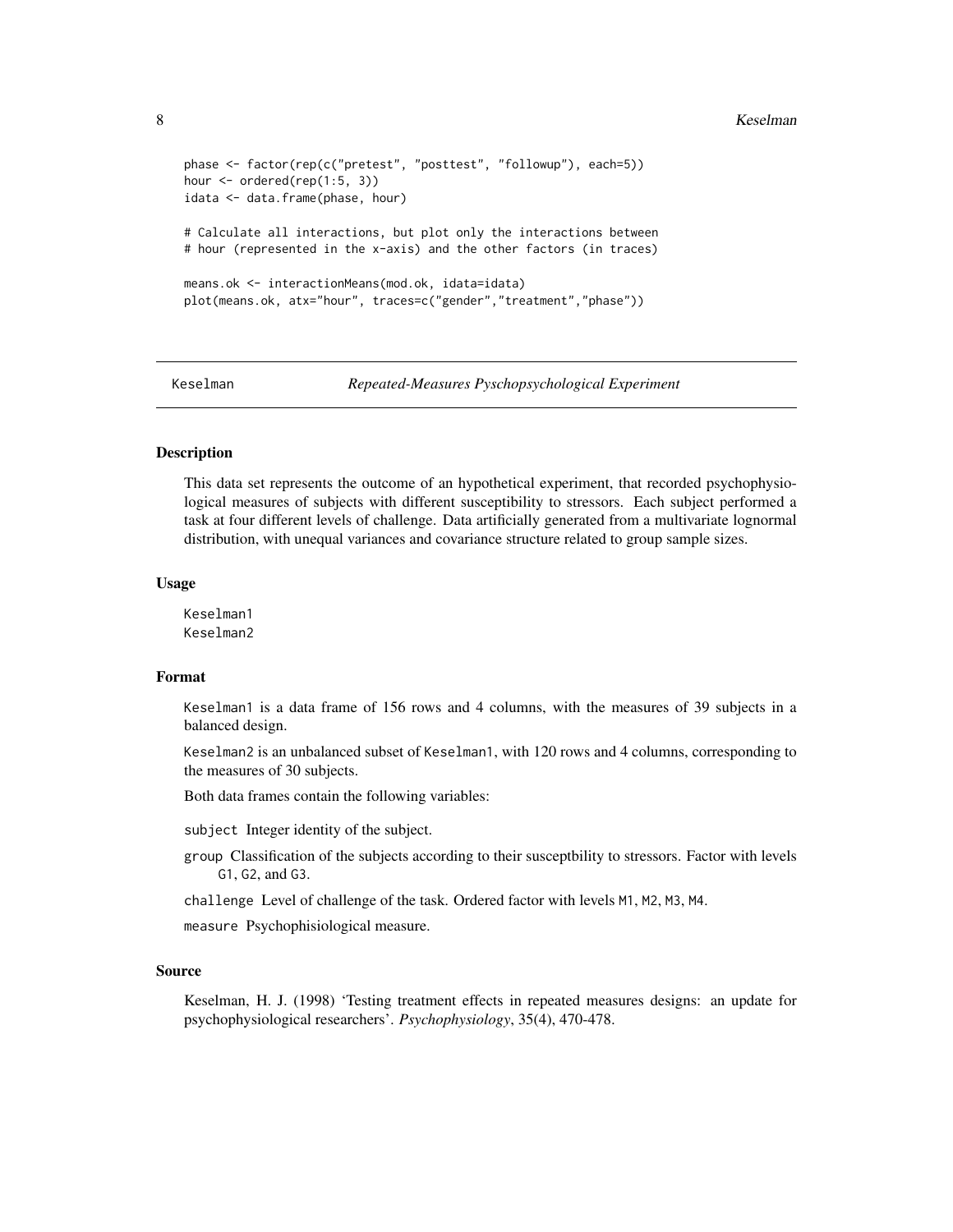```
phase <- factor(rep(c("pretest", "posttest", "followup"), each=5))
hour <- ordered(rep(1:5, 3))
idata <- data.frame(phase, hour)
# Calculate all interactions, but plot only the interactions between
# hour (represented in the x-axis) and the other factors (in traces)
means.ok <- interactionMeans(mod.ok, idata=idata)
plot(means.ok, atx="hour", traces=c("gender","treatment","phase"))
```
Keselman *Repeated-Measures Pyschopsychological Experiment*

# **Description**

This data set represents the outcome of an hypothetical experiment, that recorded psychophysiological measures of subjects with different susceptibility to stressors. Each subject performed a task at four different levels of challenge. Data artificially generated from a multivariate lognormal distribution, with unequal variances and covariance structure related to group sample sizes.

#### Usage

Keselman1 Keselman2

#### Format

Keselman1 is a data frame of 156 rows and 4 columns, with the measures of 39 subjects in a balanced design.

Keselman2 is an unbalanced subset of Keselman1, with 120 rows and 4 columns, corresponding to the measures of 30 subjects.

Both data frames contain the following variables:

subject Integer identity of the subject.

group Classification of the subjects according to their susceptbility to stressors. Factor with levels G1, G2, and G3.

challenge Level of challenge of the task. Ordered factor with levels M1, M2, M3, M4.

measure Psychophisiological measure.

#### Source

Keselman, H. J. (1998) 'Testing treatment effects in repeated measures designs: an update for psychophysiological researchers'. *Psychophysiology*, 35(4), 470-478.

<span id="page-7-0"></span>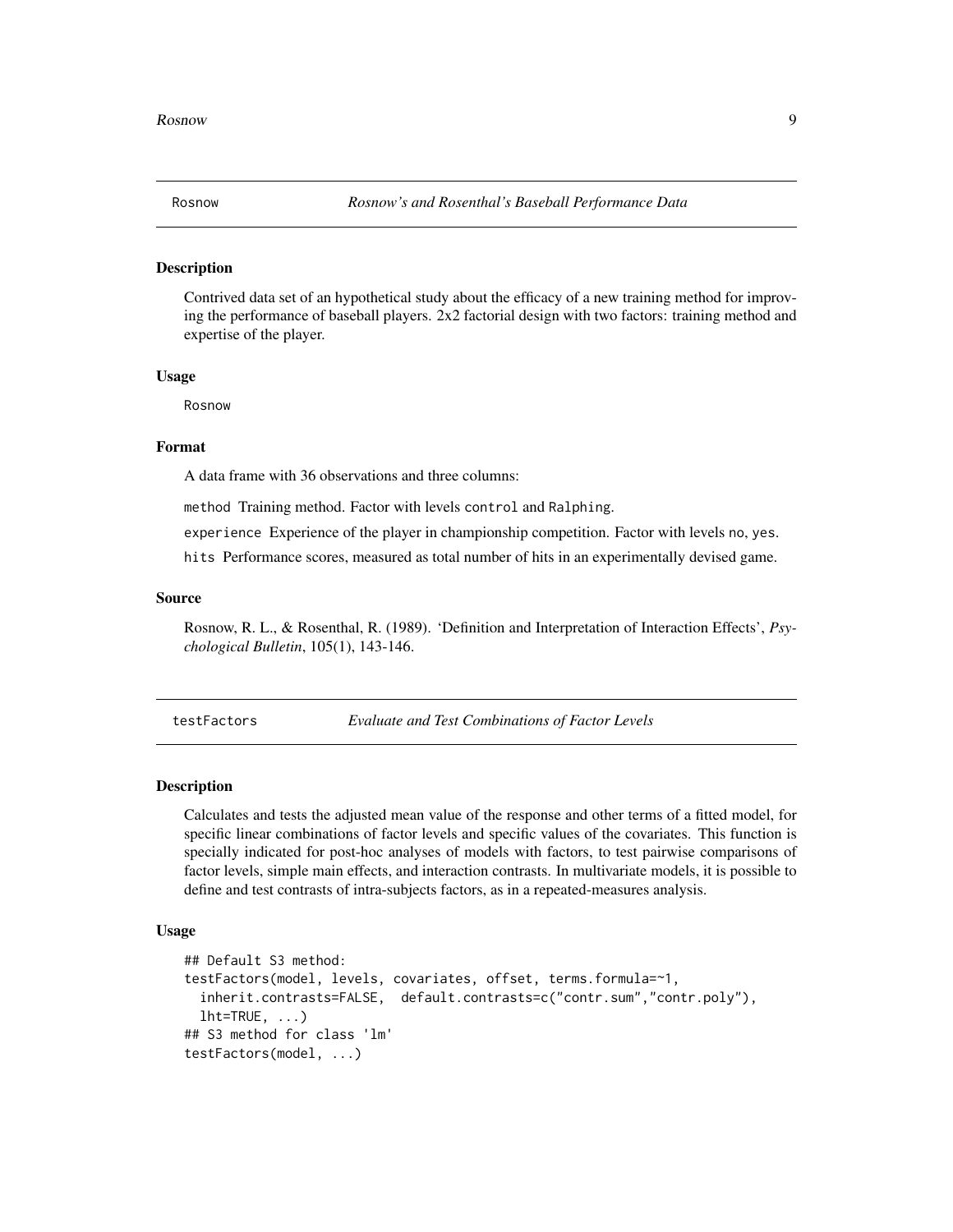<span id="page-8-0"></span>

#### Description

Contrived data set of an hypothetical study about the efficacy of a new training method for improving the performance of baseball players. 2x2 factorial design with two factors: training method and expertise of the player.

#### Usage

Rosnow

#### Format

A data frame with 36 observations and three columns:

method Training method. Factor with levels control and Ralphing.

experience Experience of the player in championship competition. Factor with levels no, yes.

hits Performance scores, measured as total number of hits in an experimentally devised game.

#### Source

Rosnow, R. L., & Rosenthal, R. (1989). 'Definition and Interpretation of Interaction Effects', *Psychological Bulletin*, 105(1), 143-146.

<span id="page-8-1"></span>testFactors *Evaluate and Test Combinations of Factor Levels*

#### Description

Calculates and tests the adjusted mean value of the response and other terms of a fitted model, for specific linear combinations of factor levels and specific values of the covariates. This function is specially indicated for post-hoc analyses of models with factors, to test pairwise comparisons of factor levels, simple main effects, and interaction contrasts. In multivariate models, it is possible to define and test contrasts of intra-subjects factors, as in a repeated-measures analysis.

#### Usage

```
## Default S3 method:
testFactors(model, levels, covariates, offset, terms.formula=~1,
  inherit.contrasts=FALSE, default.contrasts=c("contr.sum","contr.poly"),
  lht=TRUE, \ldots)
## S3 method for class 'lm'
testFactors(model, ...)
```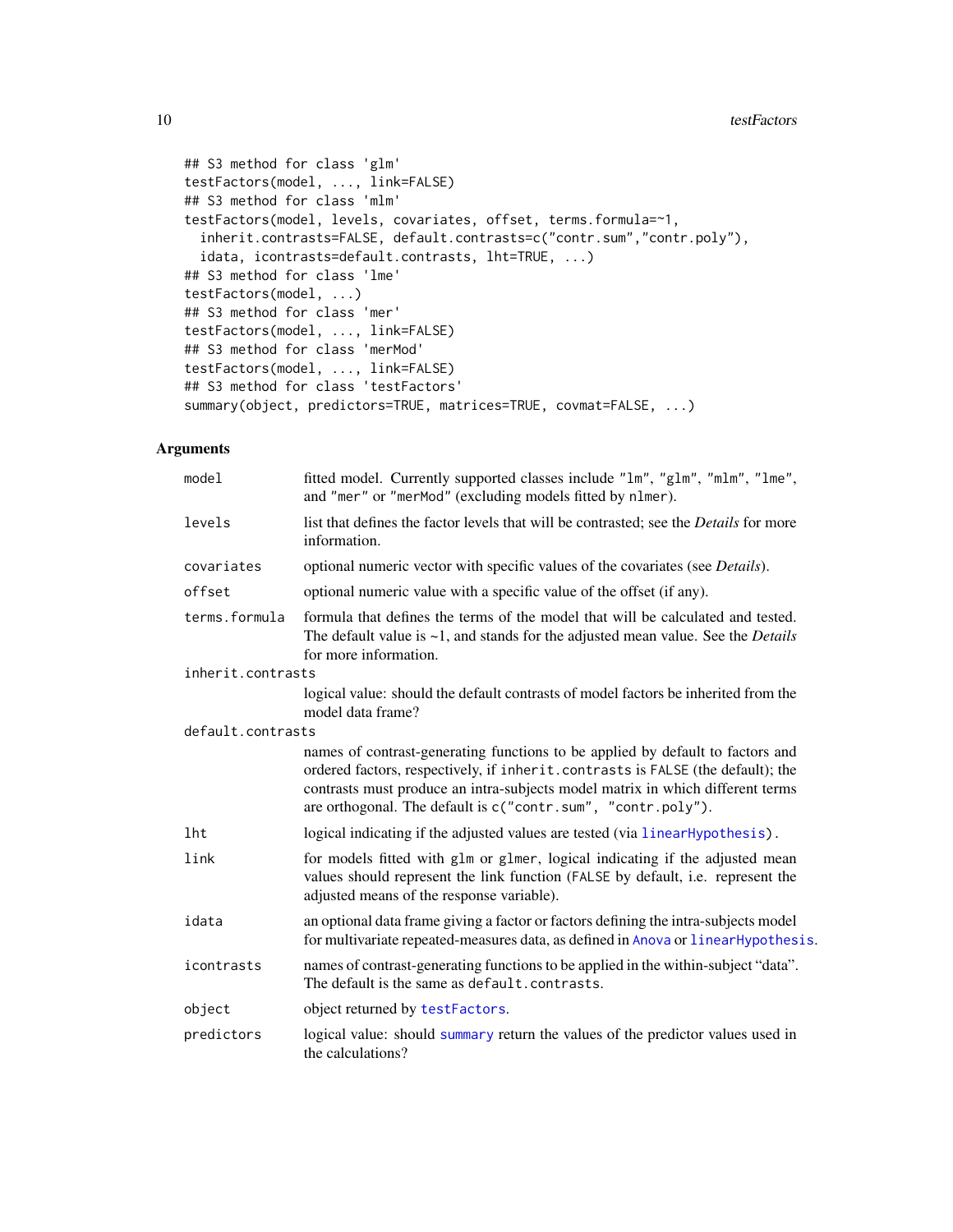```
## S3 method for class 'glm'
testFactors(model, ..., link=FALSE)
## S3 method for class 'mlm'
testFactors(model, levels, covariates, offset, terms.formula=~1,
  inherit.contrasts=FALSE, default.contrasts=c("contr.sum","contr.poly"),
  idata, icontrasts=default.contrasts, lht=TRUE, ...)
## S3 method for class 'lme'
testFactors(model, ...)
## S3 method for class 'mer'
testFactors(model, ..., link=FALSE)
## S3 method for class 'merMod'
testFactors(model, ..., link=FALSE)
## S3 method for class 'testFactors'
summary(object, predictors=TRUE, matrices=TRUE, covmat=FALSE, ...)
```
# Arguments

| model             | fitted model. Currently supported classes include "1m", "g1m", "m1m", "1me",<br>and "mer" or "merMod" (excluding models fitted by n1mer).                                                                                                                                                                           |
|-------------------|---------------------------------------------------------------------------------------------------------------------------------------------------------------------------------------------------------------------------------------------------------------------------------------------------------------------|
| levels            | list that defines the factor levels that will be contrasted; see the Details for more<br>information.                                                                                                                                                                                                               |
| covariates        | optional numeric vector with specific values of the covariates (see <i>Details</i> ).                                                                                                                                                                                                                               |
| offset            | optional numeric value with a specific value of the offset (if any).                                                                                                                                                                                                                                                |
| terms.formula     | formula that defines the terms of the model that will be calculated and tested.<br>The default value is $\sim$ 1, and stands for the adjusted mean value. See the <i>Details</i><br>for more information.                                                                                                           |
| inherit.contrasts |                                                                                                                                                                                                                                                                                                                     |
|                   | logical value: should the default contrasts of model factors be inherited from the<br>model data frame?                                                                                                                                                                                                             |
| default.contrasts |                                                                                                                                                                                                                                                                                                                     |
|                   | names of contrast-generating functions to be applied by default to factors and<br>ordered factors, respectively, if inherit.contrasts is FALSE (the default); the<br>contrasts must produce an intra-subjects model matrix in which different terms<br>are orthogonal. The default is c("contr.sum", "contr.poly"). |
| lht               | logical indicating if the adjusted values are tested (via linearHypothesis).                                                                                                                                                                                                                                        |
| link              | for models fitted with glm or glmer, logical indicating if the adjusted mean<br>values should represent the link function (FALSE by default, i.e. represent the<br>adjusted means of the response variable).                                                                                                        |
| idata             | an optional data frame giving a factor or factors defining the intra-subjects model<br>for multivariate repeated-measures data, as defined in Anova or linear Hypothesis.                                                                                                                                           |
| icontrasts        | names of contrast-generating functions to be applied in the within-subject "data".<br>The default is the same as default.contrasts.                                                                                                                                                                                 |
| object            | object returned by testFactors.                                                                                                                                                                                                                                                                                     |
| predictors        | logical value: should summary return the values of the predictor values used in<br>the calculations?                                                                                                                                                                                                                |

<span id="page-9-0"></span>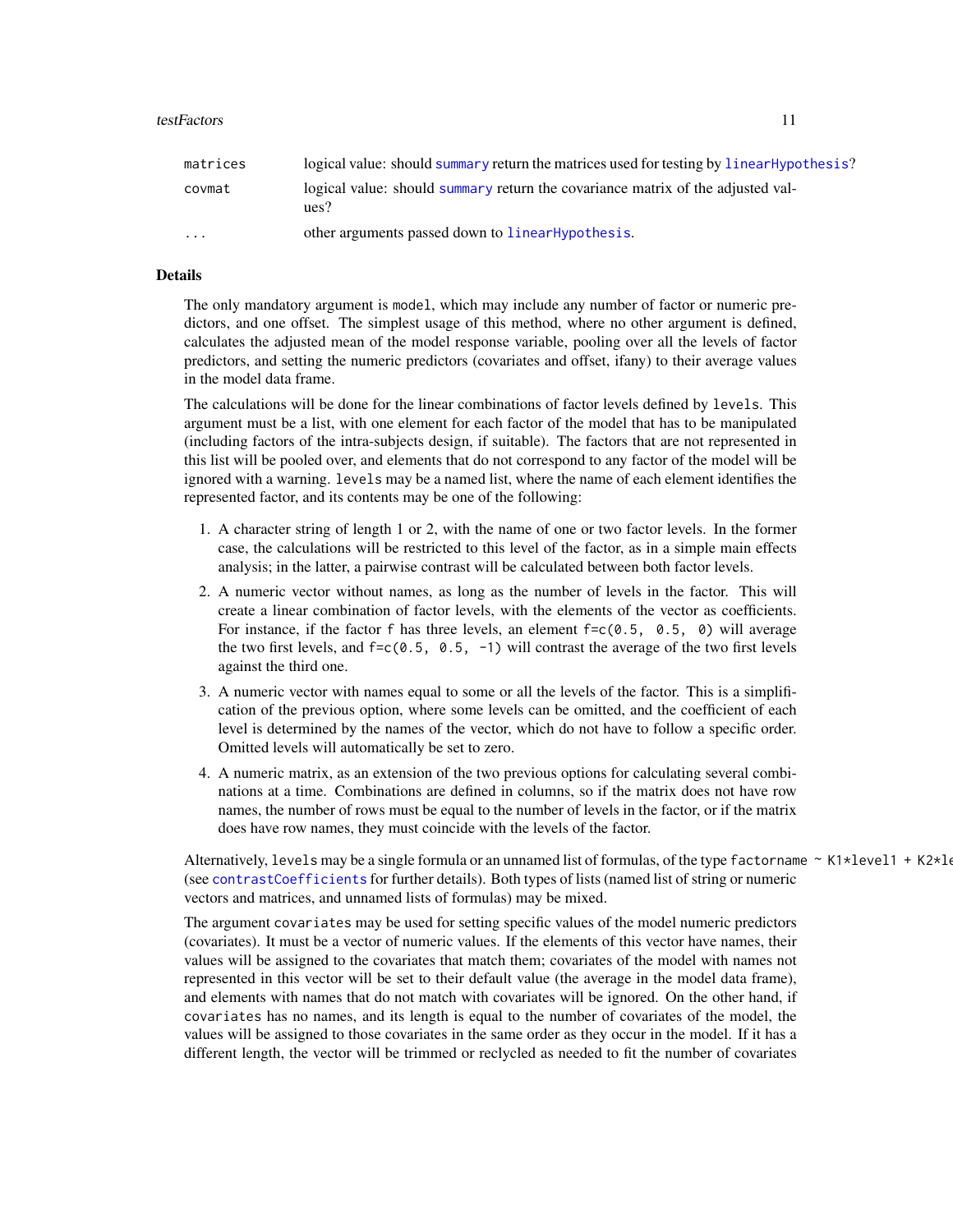#### <span id="page-10-0"></span>testFactors 11

| matrices                | logical value: should summary return the matrices used for testing by linearHypothesis? |
|-------------------------|-----------------------------------------------------------------------------------------|
| covmat                  | logical value: should summary return the covariance matrix of the adjusted val-<br>ues? |
| $\cdot$ $\cdot$ $\cdot$ | other arguments passed down to linearHypothesis.                                        |

# Details

The only mandatory argument is model, which may include any number of factor or numeric predictors, and one offset. The simplest usage of this method, where no other argument is defined, calculates the adjusted mean of the model response variable, pooling over all the levels of factor predictors, and setting the numeric predictors (covariates and offset, ifany) to their average values in the model data frame.

The calculations will be done for the linear combinations of factor levels defined by levels. This argument must be a list, with one element for each factor of the model that has to be manipulated (including factors of the intra-subjects design, if suitable). The factors that are not represented in this list will be pooled over, and elements that do not correspond to any factor of the model will be ignored with a warning. levels may be a named list, where the name of each element identifies the represented factor, and its contents may be one of the following:

- 1. A character string of length 1 or 2, with the name of one or two factor levels. In the former case, the calculations will be restricted to this level of the factor, as in a simple main effects analysis; in the latter, a pairwise contrast will be calculated between both factor levels.
- 2. A numeric vector without names, as long as the number of levels in the factor. This will create a linear combination of factor levels, with the elements of the vector as coefficients. For instance, if the factor f has three levels, an element  $f = c(0.5, 0.5, 0)$  will average the two first levels, and  $f = c(0.5, 0.5, -1)$  will contrast the average of the two first levels against the third one.
- 3. A numeric vector with names equal to some or all the levels of the factor. This is a simplification of the previous option, where some levels can be omitted, and the coefficient of each level is determined by the names of the vector, which do not have to follow a specific order. Omitted levels will automatically be set to zero.
- 4. A numeric matrix, as an extension of the two previous options for calculating several combinations at a time. Combinations are defined in columns, so if the matrix does not have row names, the number of rows must be equal to the number of levels in the factor, or if the matrix does have row names, they must coincide with the levels of the factor.

Alternatively, levels may be a single formula or an unnamed list of formulas, of the type factorname  $\sim K1*level1 + K2*l$ (see [contrastCoefficients](#page-2-1) for further details). Both types of lists (named list of string or numeric vectors and matrices, and unnamed lists of formulas) may be mixed.

The argument covariates may be used for setting specific values of the model numeric predictors (covariates). It must be a vector of numeric values. If the elements of this vector have names, their values will be assigned to the covariates that match them; covariates of the model with names not represented in this vector will be set to their default value (the average in the model data frame), and elements with names that do not match with covariates will be ignored. On the other hand, if covariates has no names, and its length is equal to the number of covariates of the model, the values will be assigned to those covariates in the same order as they occur in the model. If it has a different length, the vector will be trimmed or reclycled as needed to fit the number of covariates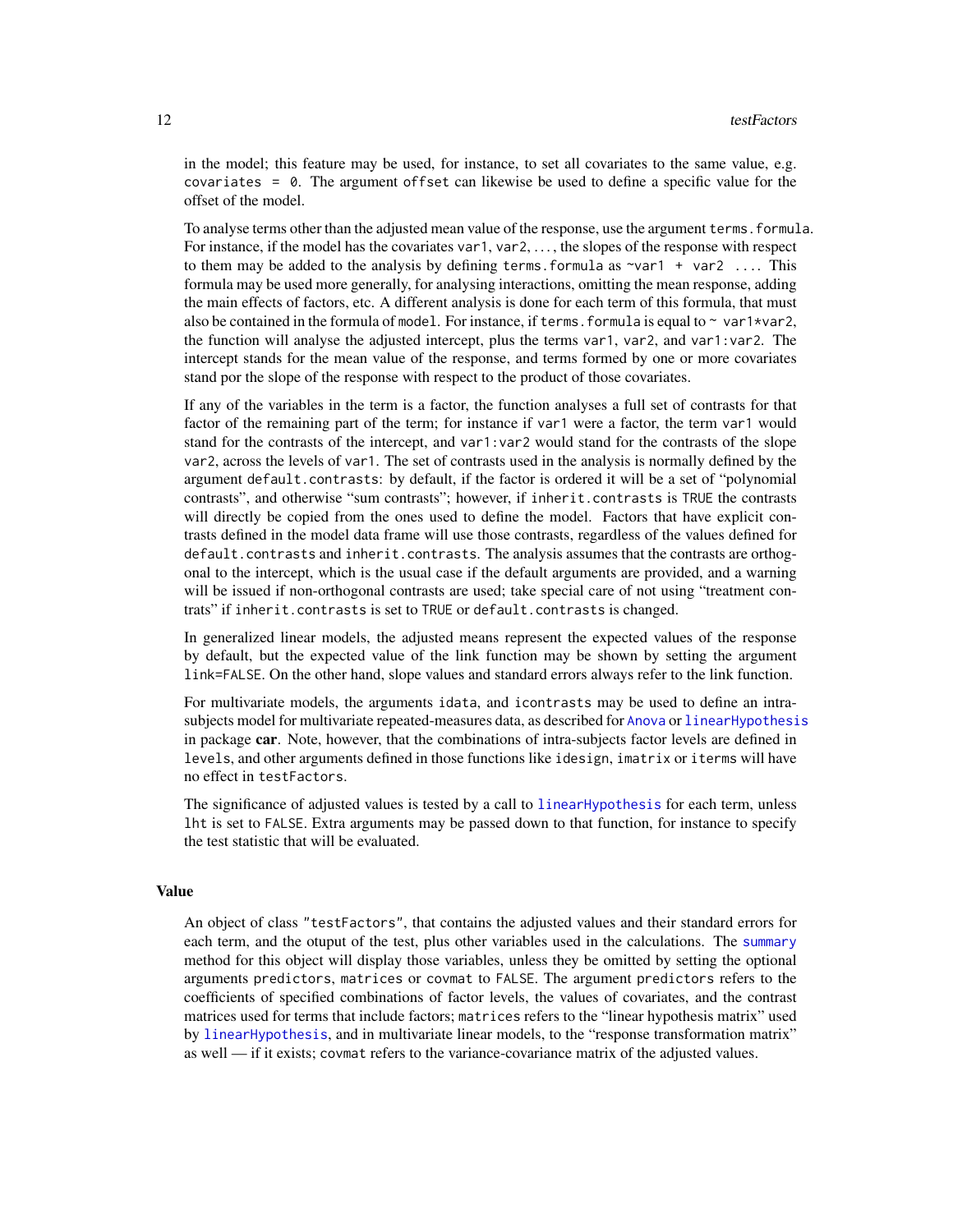<span id="page-11-0"></span>in the model; this feature may be used, for instance, to set all covariates to the same value, e.g. covariates  $= 0$ . The argument of fset can likewise be used to define a specific value for the offset of the model.

To analyse terms other than the adjusted mean value of the response, use the argument terms.formula. For instance, if the model has the covariates var1, var2, ..., the slopes of the response with respect to them may be added to the analysis by defining terms. formula as  $\gamma$ var1 + var2 .... This formula may be used more generally, for analysing interactions, omitting the mean response, adding the main effects of factors, etc. A different analysis is done for each term of this formula, that must also be contained in the formula of model. For instance, if terms, formula is equal to  $\sim$  var1\*var2, the function will analyse the adjusted intercept, plus the terms var1, var2, and var1:var2. The intercept stands for the mean value of the response, and terms formed by one or more covariates stand por the slope of the response with respect to the product of those covariates.

If any of the variables in the term is a factor, the function analyses a full set of contrasts for that factor of the remaining part of the term; for instance if var1 were a factor, the term var1 would stand for the contrasts of the intercept, and var1:var2 would stand for the contrasts of the slope var2, across the levels of var1. The set of contrasts used in the analysis is normally defined by the argument default.contrasts: by default, if the factor is ordered it will be a set of "polynomial contrasts", and otherwise "sum contrasts"; however, if inherit.contrasts is TRUE the contrasts will directly be copied from the ones used to define the model. Factors that have explicit contrasts defined in the model data frame will use those contrasts, regardless of the values defined for default.contrasts and inherit.contrasts. The analysis assumes that the contrasts are orthogonal to the intercept, which is the usual case if the default arguments are provided, and a warning will be issued if non-orthogonal contrasts are used; take special care of not using "treatment contrats" if inherit.contrasts is set to TRUE or default.contrasts is changed.

In generalized linear models, the adjusted means represent the expected values of the response by default, but the expected value of the link function may be shown by setting the argument link=FALSE. On the other hand, slope values and standard errors always refer to the link function.

For multivariate models, the arguments idata, and icontrasts may be used to define an intrasubjects model for multivariate repeated-measures data, as described for [Anova](#page-0-0) or [linearHypothesis](#page-0-0) in package car. Note, however, that the combinations of intra-subjects factor levels are defined in levels, and other arguments defined in those functions like idesign, imatrix or iterms will have no effect in testFactors.

The significance of adjusted values is tested by a call to [linearHypothesis](#page-0-0) for each term, unless lht is set to FALSE. Extra arguments may be passed down to that function, for instance to specify the test statistic that will be evaluated.

#### Value

An object of class "testFactors", that contains the adjusted values and their standard errors for each term, and the otuput of the test, plus other variables used in the calculations. The [summary](#page-0-0) method for this object will display those variables, unless they be omitted by setting the optional arguments predictors, matrices or covmat to FALSE. The argument predictors refers to the coefficients of specified combinations of factor levels, the values of covariates, and the contrast matrices used for terms that include factors; matrices refers to the "linear hypothesis matrix" used by [linearHypothesis](#page-0-0), and in multivariate linear models, to the "response transformation matrix" as well — if it exists; covmat refers to the variance-covariance matrix of the adjusted values.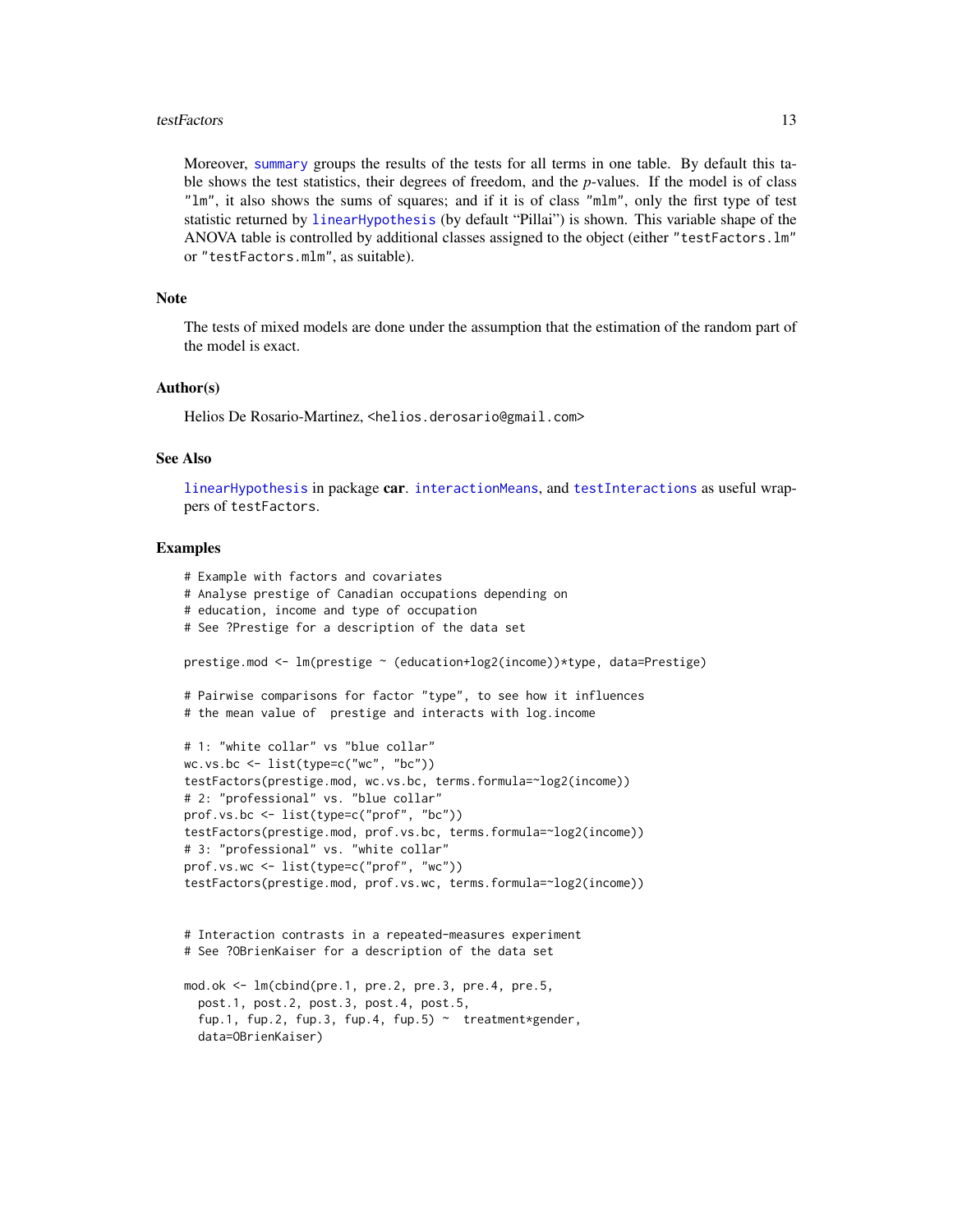#### <span id="page-12-0"></span>testFactors and the state of the state of the state of the state of the state of the state of the state of the state of the state of the state of the state of the state of the state of the state of the state of the state o

Moreover, [summary](#page-0-0) groups the results of the tests for all terms in one table. By default this table shows the test statistics, their degrees of freedom, and the *p*-values. If the model is of class "lm", it also shows the sums of squares; and if it is of class "mlm", only the first type of test statistic returned by [linearHypothesis](#page-0-0) (by default "Pillai") is shown. This variable shape of the ANOVA table is controlled by additional classes assigned to the object (either "testFactors.lm" or "testFactors.mlm", as suitable).

#### Note

The tests of mixed models are done under the assumption that the estimation of the random part of the model is exact.

#### Author(s)

Helios De Rosario-Martinez, <helios.derosario@gmail.com>

#### See Also

[linearHypothesis](#page-0-0) in package car. [interactionMeans](#page-4-1), and [testInteractions](#page-13-1) as useful wrappers of testFactors.

# Examples

```
# Example with factors and covariates
# Analyse prestige of Canadian occupations depending on
# education, income and type of occupation
# See ?Prestige for a description of the data set
prestige.mod <- lm(prestige ~ (education+log2(income))*type, data=Prestige)
# Pairwise comparisons for factor "type", to see how it influences
# the mean value of prestige and interacts with log.income
# 1: "white collar" vs "blue collar"
wc.vs.bc <- list(type=c("wc", "bc"))
testFactors(prestige.mod, wc.vs.bc, terms.formula=~log2(income))
# 2: "professional" vs. "blue collar"
prof.vs.bc <- list(type=c("prof", "bc"))
testFactors(prestige.mod, prof.vs.bc, terms.formula=~log2(income))
# 3: "professional" vs. "white collar"
prof.vs.wc <- list(type=c("prof", "wc"))
testFactors(prestige.mod, prof.vs.wc, terms.formula=~log2(income))
# Interaction contrasts in a repeated-measures experiment
# See ?OBrienKaiser for a description of the data set
mod.ok <- lm(cbind(pre.1, pre.2, pre.3, pre.4, pre.5,
  post.1, post.2, post.3, post.4, post.5,
  fup.1, fup.2, fup.3, fup.4, fup.5) \sim treatment*gender,
  data=OBrienKaiser)
```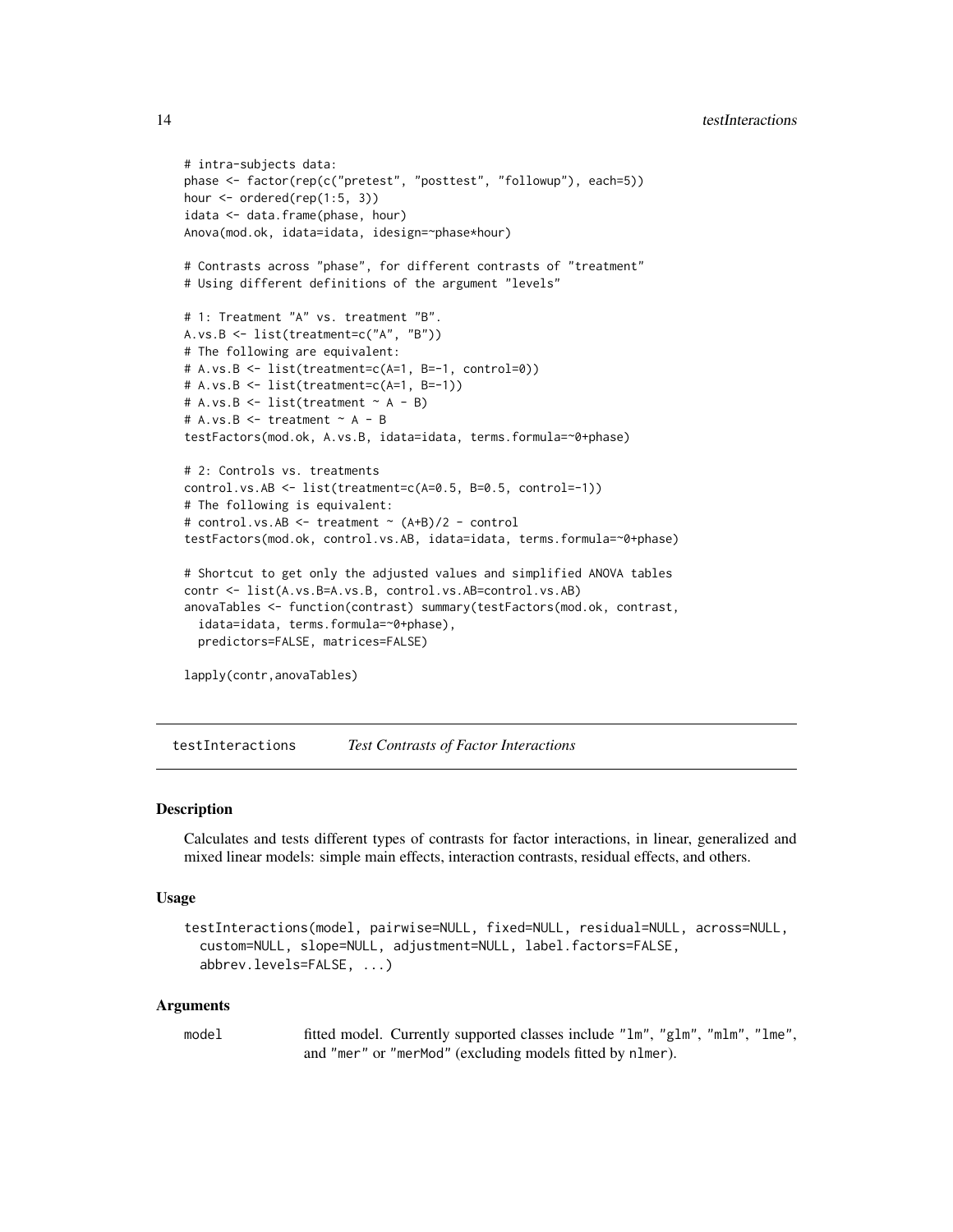```
# intra-subjects data:
phase <- factor(rep(c("pretest", "posttest", "followup"), each=5))
hour <- ordered(rep(1:5, 3))
idata <- data.frame(phase, hour)
Anova(mod.ok, idata=idata, idesign=~phase*hour)
# Contrasts across "phase", for different contrasts of "treatment"
# Using different definitions of the argument "levels"
# 1: Treatment "A" vs. treatment "B".
A.vs.B <- list(treatment=c("A", "B"))
# The following are equivalent:
# A.vs.B <- list(treatment=c(A=1, B=-1, control=0))
# A.vs.B <- list(treatment=c(A=1, B=-1))
# A.vs.B \leq list(treatment \sim A - B)# A.vs.B \leq treatment \sim A - BtestFactors(mod.ok, A.vs.B, idata=idata, terms.formula=~0+phase)
# 2: Controls vs. treatments
control.vs.AB <- list(treatment=c(A=0.5, B=0.5, control=-1))
# The following is equivalent:
# control.vs.AB <- treatment ~ (A+B)/2 - control
testFactors(mod.ok, control.vs.AB, idata=idata, terms.formula=~0+phase)
# Shortcut to get only the adjusted values and simplified ANOVA tables
contr <- list(A.vs.B=A.vs.B, control.vs.AB=control.vs.AB)
anovaTables <- function(contrast) summary(testFactors(mod.ok, contrast,
  idata=idata, terms.formula=~0+phase),
 predictors=FALSE, matrices=FALSE)
```
lapply(contr,anovaTables)

<span id="page-13-1"></span>testInteractions *Test Contrasts of Factor Interactions*

#### **Description**

Calculates and tests different types of contrasts for factor interactions, in linear, generalized and mixed linear models: simple main effects, interaction contrasts, residual effects, and others.

#### Usage

```
testInteractions(model, pairwise=NULL, fixed=NULL, residual=NULL, across=NULL,
  custom=NULL, slope=NULL, adjustment=NULL, label.factors=FALSE,
  abbrev.levels=FALSE, ...)
```
#### Arguments

model fitted model. Currently supported classes include "lm", "glm", "mlm", "lme", and "mer" or "merMod" (excluding models fitted by nlmer).

<span id="page-13-0"></span>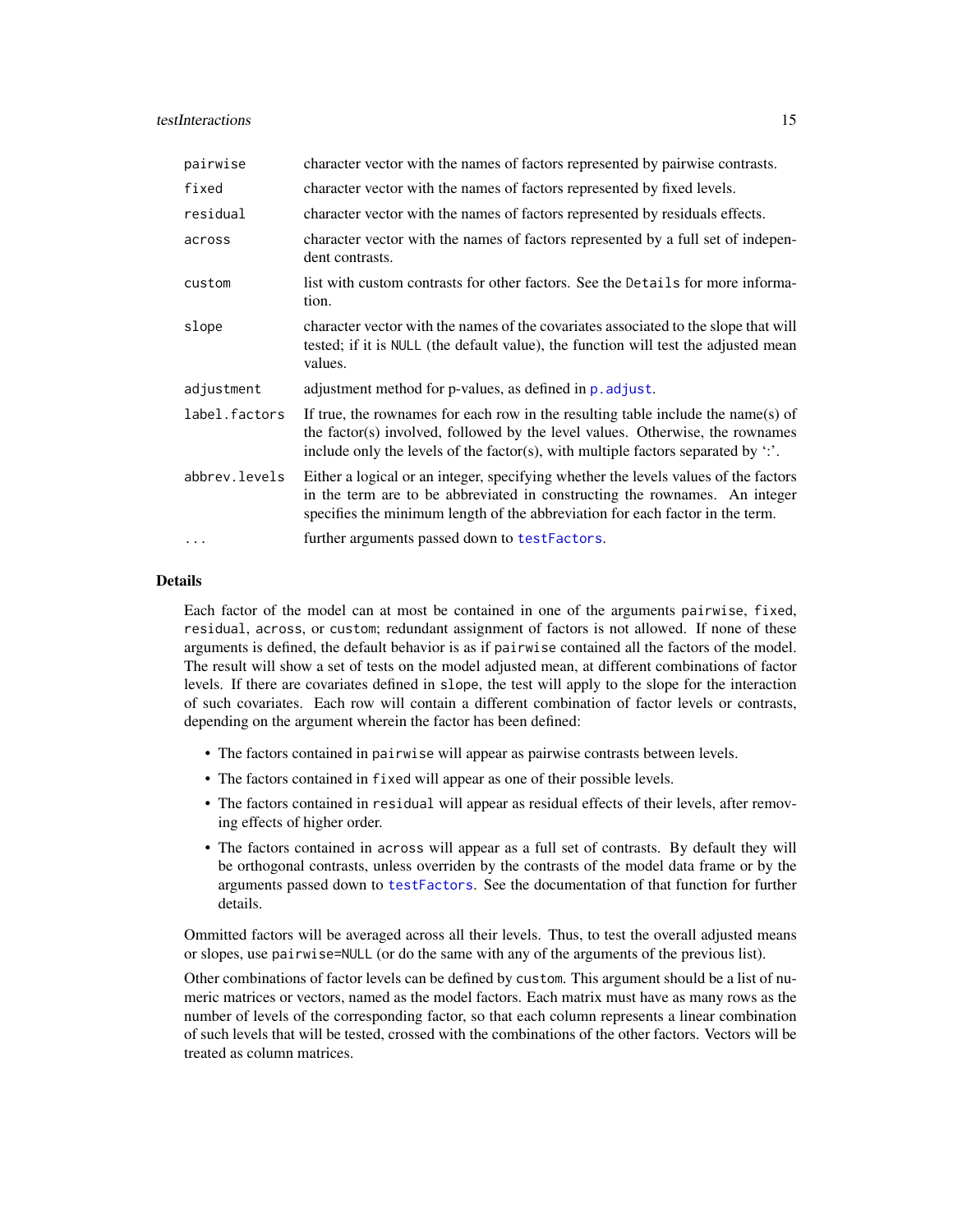# <span id="page-14-0"></span>testInteractions 15

| pairwise      | character vector with the names of factors represented by pairwise contrasts.                                                                                                                                                                                    |
|---------------|------------------------------------------------------------------------------------------------------------------------------------------------------------------------------------------------------------------------------------------------------------------|
| fixed         | character vector with the names of factors represented by fixed levels.                                                                                                                                                                                          |
| residual      | character vector with the names of factors represented by residuals effects.                                                                                                                                                                                     |
| across        | character vector with the names of factors represented by a full set of indepen-<br>dent contrasts.                                                                                                                                                              |
| custom        | list with custom contrasts for other factors. See the Details for more informa-<br>tion.                                                                                                                                                                         |
| slope         | character vector with the names of the covariates associated to the slope that will<br>tested; if it is NULL (the default value), the function will test the adjusted mean<br>values.                                                                            |
| adjustment    | adjustment method for p-values, as defined in p. adjust.                                                                                                                                                                                                         |
| label.factors | If true, the rownames for each row in the resulting table include the name(s) of<br>the factor(s) involved, followed by the level values. Otherwise, the rownames<br>include only the levels of the factor(s), with multiple factors separated by $\therefore$ . |
| abbrev.levels | Either a logical or an integer, specifying whether the levels values of the factors<br>in the term are to be abbreviated in constructing the rownames. An integer<br>specifies the minimum length of the abbreviation for each factor in the term.               |
| .             | further arguments passed down to testFactors.                                                                                                                                                                                                                    |

# **Details**

Each factor of the model can at most be contained in one of the arguments pairwise, fixed, residual, across, or custom; redundant assignment of factors is not allowed. If none of these arguments is defined, the default behavior is as if pairwise contained all the factors of the model. The result will show a set of tests on the model adjusted mean, at different combinations of factor levels. If there are covariates defined in slope, the test will apply to the slope for the interaction of such covariates. Each row will contain a different combination of factor levels or contrasts, depending on the argument wherein the factor has been defined:

- The factors contained in pairwise will appear as pairwise contrasts between levels.
- The factors contained in fixed will appear as one of their possible levels.
- The factors contained in residual will appear as residual effects of their levels, after removing effects of higher order.
- The factors contained in across will appear as a full set of contrasts. By default they will be orthogonal contrasts, unless overriden by the contrasts of the model data frame or by the arguments passed down to [testFactors](#page-8-1). See the documentation of that function for further details.

Ommitted factors will be averaged across all their levels. Thus, to test the overall adjusted means or slopes, use pairwise=NULL (or do the same with any of the arguments of the previous list).

Other combinations of factor levels can be defined by custom. This argument should be a list of numeric matrices or vectors, named as the model factors. Each matrix must have as many rows as the number of levels of the corresponding factor, so that each column represents a linear combination of such levels that will be tested, crossed with the combinations of the other factors. Vectors will be treated as column matrices.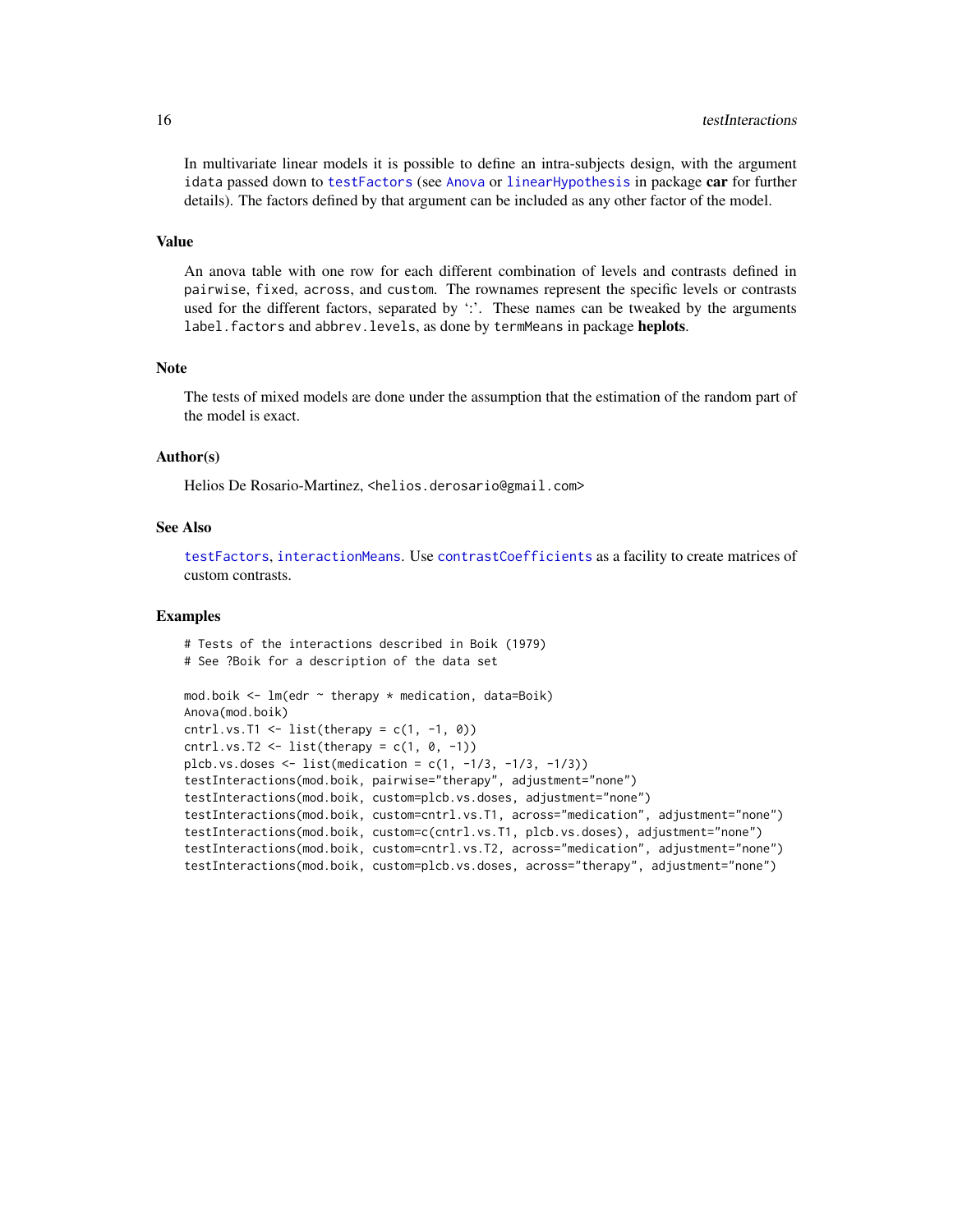<span id="page-15-0"></span>In multivariate linear models it is possible to define an intra-subjects design, with the argument idata passed down to [testFactors](#page-8-1) (see [Anova](#page-0-0) or [linearHypothesis](#page-0-0) in package car for further details). The factors defined by that argument can be included as any other factor of the model.

#### Value

An anova table with one row for each different combination of levels and contrasts defined in pairwise, fixed, across, and custom. The rownames represent the specific levels or contrasts used for the different factors, separated by  $\cdot$ . These names can be tweaked by the arguments label. factors and abbrev. levels, as done by termMeans in package heplots.

#### Note

The tests of mixed models are done under the assumption that the estimation of the random part of the model is exact.

#### Author(s)

Helios De Rosario-Martinez, <helios.derosario@gmail.com>

#### See Also

[testFactors](#page-8-1), [interactionMeans](#page-4-1). Use [contrastCoefficients](#page-2-1) as a facility to create matrices of custom contrasts.

#### Examples

# Tests of the interactions described in Boik (1979) # See ?Boik for a description of the data set

```
mod.boik <- lm(edr ~ therapy * medication, data=Boik)
Anova(mod.boik)
cntrl.vs.T1 <- list(therapy = c(1, -1, 0))
cntrl.vs.T2 <- list(therapy = c(1, 0, -1))
plcb.vs.doses \leq list(medication = c(1, -1/3, -1/3, -1/3))
testInteractions(mod.boik, pairwise="therapy", adjustment="none")
testInteractions(mod.boik, custom=plcb.vs.doses, adjustment="none")
testInteractions(mod.boik, custom=cntrl.vs.T1, across="medication", adjustment="none")
testInteractions(mod.boik, custom=c(cntrl.vs.T1, plcb.vs.doses), adjustment="none")
testInteractions(mod.boik, custom=cntrl.vs.T2, across="medication", adjustment="none")
testInteractions(mod.boik, custom=plcb.vs.doses, across="therapy", adjustment="none")
```